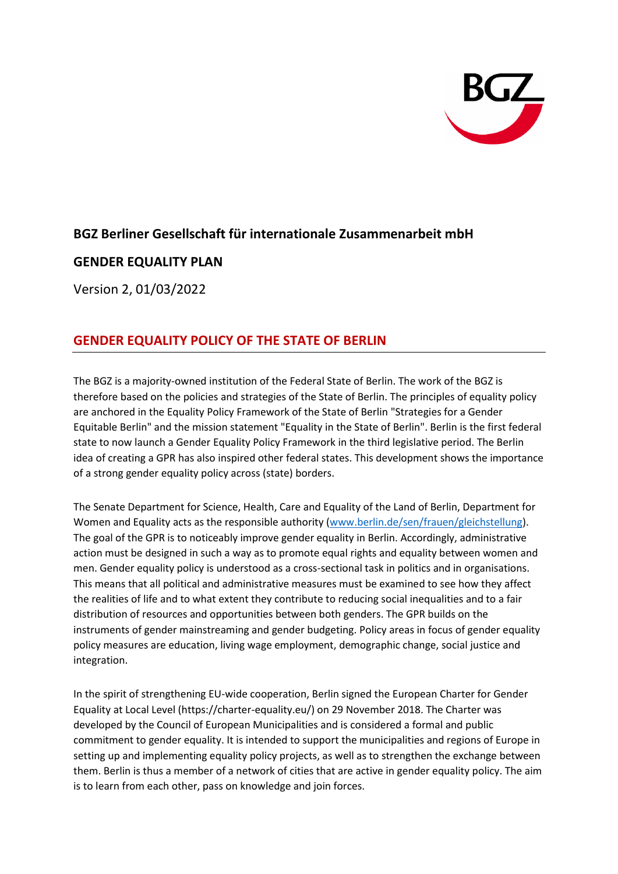

# **BGZ Berliner Gesellschaft für internationale Zusammenarbeit mbH**

# **GENDER EQUALITY PLAN**

Version 2, 01/03/2022

# **GENDER EQUALITY POLICY OF THE STATE OF BERLIN**

The BGZ is a majority-owned institution of the Federal State of Berlin. The work of the BGZ is therefore based on the policies and strategies of the State of Berlin. The principles of equality policy are anchored in the Equality Policy Framework of the State of Berlin "Strategies for a Gender Equitable Berlin" and the mission statement "Equality in the State of Berlin". Berlin is the first federal state to now launch a Gender Equality Policy Framework in the third legislative period. The Berlin idea of creating a GPR has also inspired other federal states. This development shows the importance of a strong gender equality policy across (state) borders.

The Senate Department for Science, Health, Care and Equality of the Land of Berlin, Department for Women and Equality acts as the responsible authority [\(www.berlin.de/sen/frauen/gleichstellung\)](http://www.berlin.de/sen/frauen/gleichstellung). The goal of the GPR is to noticeably improve gender equality in Berlin. Accordingly, administrative action must be designed in such a way as to promote equal rights and equality between women and men. Gender equality policy is understood as a cross-sectional task in politics and in organisations. This means that all political and administrative measures must be examined to see how they affect the realities of life and to what extent they contribute to reducing social inequalities and to a fair distribution of resources and opportunities between both genders. The GPR builds on the instruments of gender mainstreaming and gender budgeting. Policy areas in focus of gender equality policy measures are education, living wage employment, demographic change, social justice and integration.

In the spirit of strengthening EU-wide cooperation, Berlin signed the European Charter for Gender Equality at Local Level (https://charter-equality.eu/) on 29 November 2018. The Charter was developed by the Council of European Municipalities and is considered a formal and public commitment to gender equality. It is intended to support the municipalities and regions of Europe in setting up and implementing equality policy projects, as well as to strengthen the exchange between them. Berlin is thus a member of a network of cities that are active in gender equality policy. The aim is to learn from each other, pass on knowledge and join forces.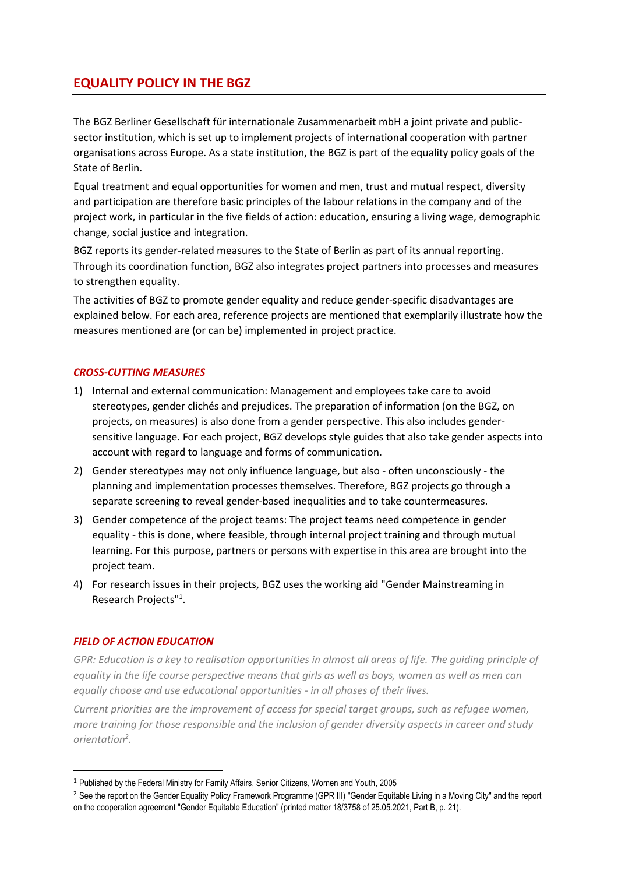# **EQUALITY POLICY IN THE BGZ**

The BGZ Berliner Gesellschaft für internationale Zusammenarbeit mbH a joint private and publicsector institution, which is set up to implement projects of international cooperation with partner organisations across Europe. As a state institution, the BGZ is part of the equality policy goals of the State of Berlin.

Equal treatment and equal opportunities for women and men, trust and mutual respect, diversity and participation are therefore basic principles of the labour relations in the company and of the project work, in particular in the five fields of action: education, ensuring a living wage, demographic change, social justice and integration.

BGZ reports its gender-related measures to the State of Berlin as part of its annual reporting. Through its coordination function, BGZ also integrates project partners into processes and measures to strengthen equality.

The activities of BGZ to promote gender equality and reduce gender-specific disadvantages are explained below. For each area, reference projects are mentioned that exemplarily illustrate how the measures mentioned are (or can be) implemented in project practice.

#### *CROSS-CUTTING MEASURES*

- 1) Internal and external communication: Management and employees take care to avoid stereotypes, gender clichés and prejudices. The preparation of information (on the BGZ, on projects, on measures) is also done from a gender perspective. This also includes gendersensitive language. For each project, BGZ develops style guides that also take gender aspects into account with regard to language and forms of communication.
- 2) Gender stereotypes may not only influence language, but also often unconsciously the planning and implementation processes themselves. Therefore, BGZ projects go through a separate screening to reveal gender-based inequalities and to take countermeasures.
- 3) Gender competence of the project teams: The project teams need competence in gender equality - this is done, where feasible, through internal project training and through mutual learning. For this purpose, partners or persons with expertise in this area are brought into the project team.
- 4) For research issues in their projects, BGZ uses the working aid "Gender Mainstreaming in Research Projects"<sup>1</sup> .

#### *FIELD OF ACTION EDUCATION*

**.** 

*GPR: Education is a key to realisation opportunities in almost all areas of life. The guiding principle of equality in the life course perspective means that girls as well as boys, women as well as men can equally choose and use educational opportunities - in all phases of their lives.*

*Current priorities are the improvement of access for special target groups, such as refugee women, more training for those responsible and the inclusion of gender diversity aspects in career and study orientation<sup>2</sup> .*

<sup>1</sup> Published by the Federal Ministry for Family Affairs, Senior Citizens, Women and Youth, 2005

<sup>&</sup>lt;sup>2</sup> See the report on the Gender Equality Policy Framework Programme (GPR III) "Gender Equitable Living in a Moving City" and the report on the cooperation agreement "Gender Equitable Education" (printed matter 18/3758 of 25.05.2021, Part B, p. 21).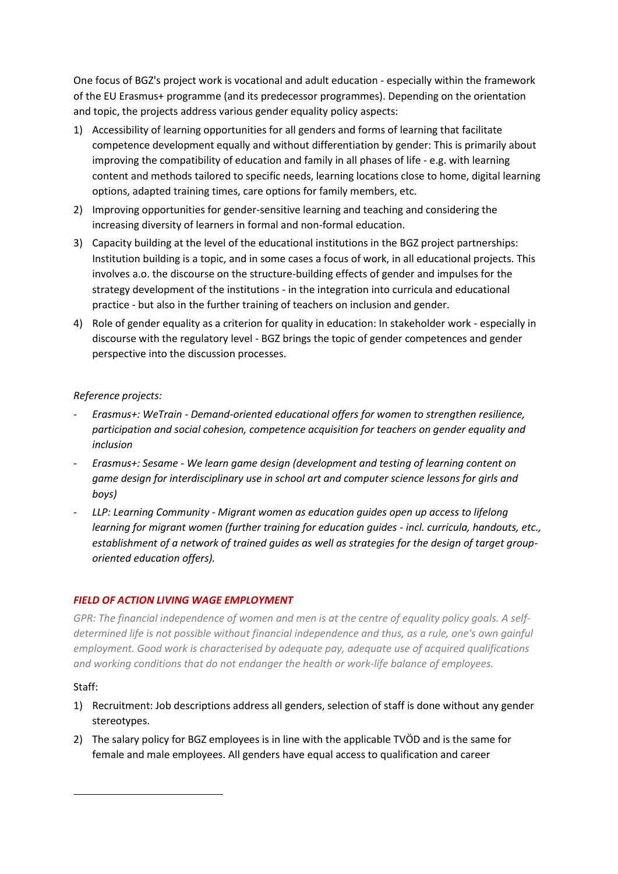One focus of BGZ's project work is vocational and adult education - especially within the framework of the EU Erasmus+ programme (and its predecessor programmes). Depending on the orientation and topic, the projects address various gender equality policy aspects:

- 1) Accessibility of learning opportunities for all genders and forms of learning that facilitate competence development equally and without differentiation by gender: This is primarily about improving the compatibility of education and family in all phases of life - e.g. with learning content and methods tailored to specific needs, learning locations close to home, digital learning options, adapted training times, care options for family members, etc.
- 2) Improving opportunities for gender-sensitive learning and teaching and considering the increasing diversity of learners in formal and non-formal education.
- 3) Capacity building at the level of the educational institutions in the BGZ project partnerships: Institution building is a topic, and in some cases a focus of work, in all educational projects. This involves a.o. the discourse on the structure-building effects of gender and impulses for the strategy development of the institutions - in the integration into curricula and educational practice - but also in the further training of teachers on inclusion and gender.
- 4) Role of gender equality as a criterion for quality in education: In stakeholder work especially in discourse with the regulatory level - BGZ brings the topic of gender competences and gender perspective into the discussion processes.

## *Reference projects:*

- *Erasmus+: WeTrain - Demand-oriented educational offers for women to strengthen resilience, participation and social cohesion, competence acquisition for teachers on gender equality and inclusion*
- *Erasmus+: Sesame - We learn game design (development and testing of learning content on game design for interdisciplinary use in school art and computer science lessons for girls and boys)*
- *LLP: Learning Community - Migrant women as education guides open up access to lifelong learning for migrant women (further training for education guides - incl. curricula, handouts, etc., establishment of a network of trained guides as well as strategies for the design of target grouporiented education offers).*

## *FIELD OF ACTION LIVING WAGE EMPLOYMENT*

*GPR: The financial independence of women and men is at the centre of equality policy goals. A selfdetermined life is not possible without financial independence and thus, as a rule, one's own gainful employment. Good work is characterised by adequate pay, adequate use of acquired qualifications and working conditions that do not endanger the health or work-life balance of employees.*

## Staff:

**.** 

- 1) Recruitment: Job descriptions address all genders, selection of staff is done without any gender stereotypes.
- 2) The salary policy for BGZ employees is in line with the applicable TVÖD and is the same for female and male employees. All genders have equal access to qualification and career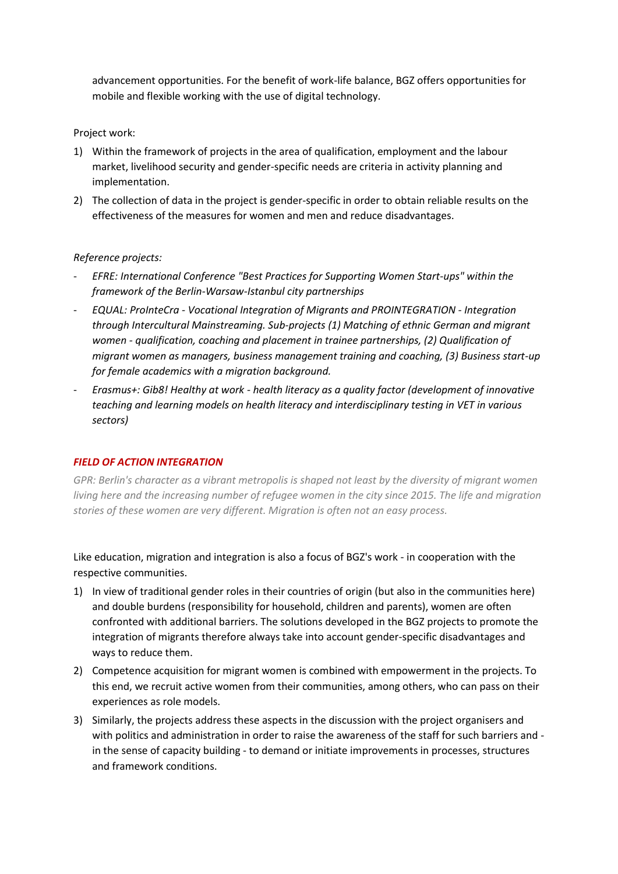advancement opportunities. For the benefit of work-life balance, BGZ offers opportunities for mobile and flexible working with the use of digital technology.

#### Project work:

- 1) Within the framework of projects in the area of qualification, employment and the labour market, livelihood security and gender-specific needs are criteria in activity planning and implementation.
- 2) The collection of data in the project is gender-specific in order to obtain reliable results on the effectiveness of the measures for women and men and reduce disadvantages.

#### *Reference projects:*

- *EFRE: International Conference "Best Practices for Supporting Women Start-ups" within the framework of the Berlin-Warsaw-Istanbul city partnerships*
- *EQUAL: ProInteCra - Vocational Integration of Migrants and PROINTEGRATION - Integration through Intercultural Mainstreaming. Sub-projects (1) Matching of ethnic German and migrant women - qualification, coaching and placement in trainee partnerships, (2) Qualification of migrant women as managers, business management training and coaching, (3) Business start-up for female academics with a migration background.*
- *Erasmus+: Gib8! Healthy at work - health literacy as a quality factor (development of innovative teaching and learning models on health literacy and interdisciplinary testing in VET in various sectors)*

## *FIELD OF ACTION INTEGRATION*

*GPR: Berlin's character as a vibrant metropolis is shaped not least by the diversity of migrant women living here and the increasing number of refugee women in the city since 2015. The life and migration stories of these women are very different. Migration is often not an easy process.*

Like education, migration and integration is also a focus of BGZ's work - in cooperation with the respective communities.

- 1) In view of traditional gender roles in their countries of origin (but also in the communities here) and double burdens (responsibility for household, children and parents), women are often confronted with additional barriers. The solutions developed in the BGZ projects to promote the integration of migrants therefore always take into account gender-specific disadvantages and ways to reduce them.
- 2) Competence acquisition for migrant women is combined with empowerment in the projects. To this end, we recruit active women from their communities, among others, who can pass on their experiences as role models.
- 3) Similarly, the projects address these aspects in the discussion with the project organisers and with politics and administration in order to raise the awareness of the staff for such barriers and in the sense of capacity building - to demand or initiate improvements in processes, structures and framework conditions.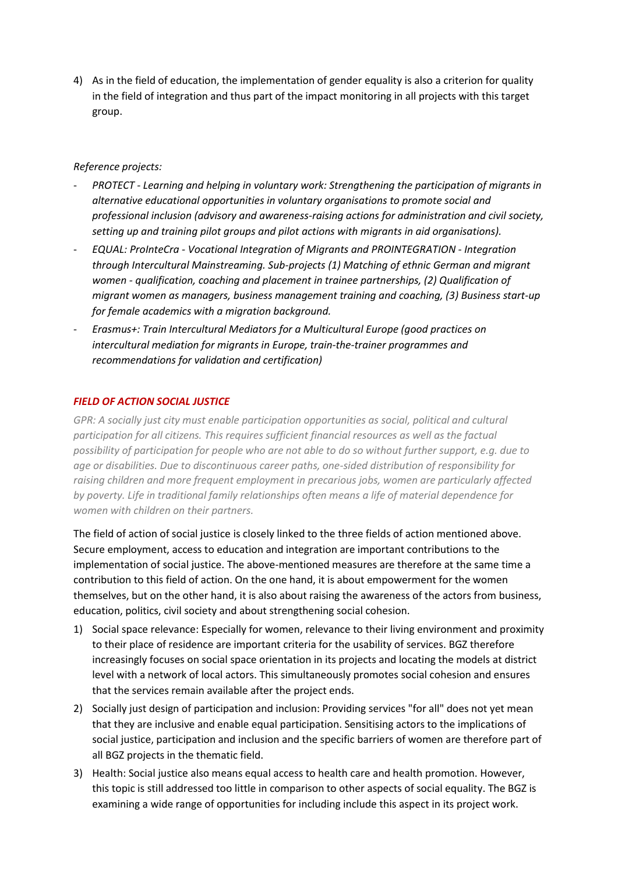4) As in the field of education, the implementation of gender equality is also a criterion for quality in the field of integration and thus part of the impact monitoring in all projects with this target group.

#### *Reference projects:*

- *PROTECT - Learning and helping in voluntary work: Strengthening the participation of migrants in alternative educational opportunities in voluntary organisations to promote social and professional inclusion (advisory and awareness-raising actions for administration and civil society, setting up and training pilot groups and pilot actions with migrants in aid organisations).*
- *EQUAL: ProInteCra - Vocational Integration of Migrants and PROINTEGRATION - Integration through Intercultural Mainstreaming. Sub-projects (1) Matching of ethnic German and migrant women - qualification, coaching and placement in trainee partnerships, (2) Qualification of migrant women as managers, business management training and coaching, (3) Business start-up for female academics with a migration background.*
- *Erasmus+: Train Intercultural Mediators for a Multicultural Europe (good practices on intercultural mediation for migrants in Europe, train-the-trainer programmes and recommendations for validation and certification)*

#### *FIELD OF ACTION SOCIAL JUSTICE*

*GPR: A socially just city must enable participation opportunities as social, political and cultural participation for all citizens. This requires sufficient financial resources as well as the factual possibility of participation for people who are not able to do so without further support, e.g. due to age or disabilities. Due to discontinuous career paths, one-sided distribution of responsibility for raising children and more frequent employment in precarious jobs, women are particularly affected by poverty. Life in traditional family relationships often means a life of material dependence for women with children on their partners.*

The field of action of social justice is closely linked to the three fields of action mentioned above. Secure employment, access to education and integration are important contributions to the implementation of social justice. The above-mentioned measures are therefore at the same time a contribution to this field of action. On the one hand, it is about empowerment for the women themselves, but on the other hand, it is also about raising the awareness of the actors from business, education, politics, civil society and about strengthening social cohesion.

- 1) Social space relevance: Especially for women, relevance to their living environment and proximity to their place of residence are important criteria for the usability of services. BGZ therefore increasingly focuses on social space orientation in its projects and locating the models at district level with a network of local actors. This simultaneously promotes social cohesion and ensures that the services remain available after the project ends.
- 2) Socially just design of participation and inclusion: Providing services "for all" does not yet mean that they are inclusive and enable equal participation. Sensitising actors to the implications of social justice, participation and inclusion and the specific barriers of women are therefore part of all BGZ projects in the thematic field.
- 3) Health: Social justice also means equal access to health care and health promotion. However, this topic is still addressed too little in comparison to other aspects of social equality. The BGZ is examining a wide range of opportunities for including include this aspect in its project work.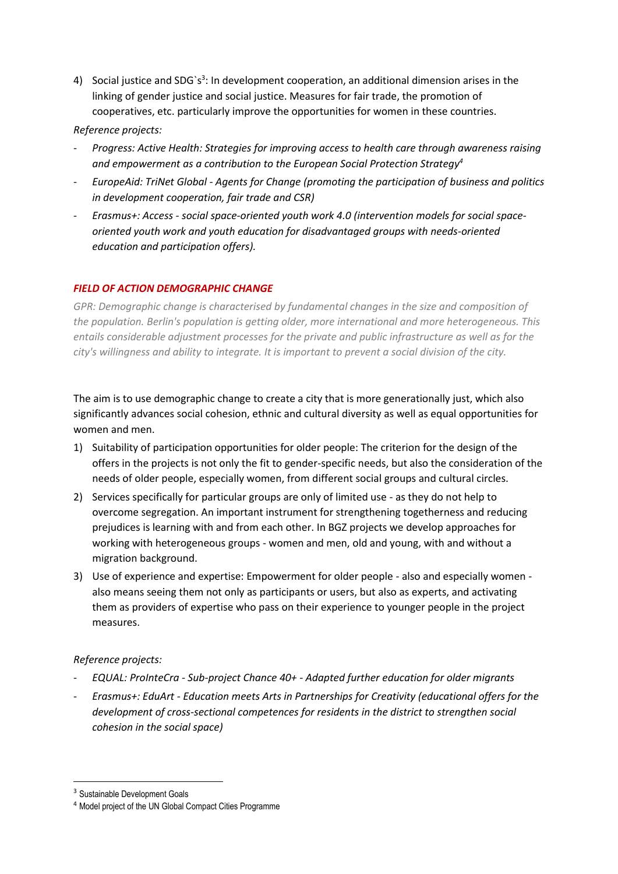4) Social justice and SDG`s<sup>3</sup>: In development cooperation, an additional dimension arises in the linking of gender justice and social justice. Measures for fair trade, the promotion of cooperatives, etc. particularly improve the opportunities for women in these countries.

## *Reference projects:*

- *Progress: Active Health: Strategies for improving access to health care through awareness raising and empowerment as a contribution to the European Social Protection Strategy<sup>4</sup>*
- *EuropeAid: TriNet Global - Agents for Change (promoting the participation of business and politics in development cooperation, fair trade and CSR)*
- *Erasmus+: Access - social space-oriented youth work 4.0 (intervention models for social spaceoriented youth work and youth education for disadvantaged groups with needs-oriented education and participation offers).*

## *FIELD OF ACTION DEMOGRAPHIC CHANGE*

GPR: Demographic change is characterised by fundamental changes in the size and composition of *the population. Berlin's population is getting older, more international and more heterogeneous. This entails considerable adjustment processes for the private and public infrastructure as well as for the city's willingness and ability to integrate. It is important to prevent a social division of the city.*

The aim is to use demographic change to create a city that is more generationally just, which also significantly advances social cohesion, ethnic and cultural diversity as well as equal opportunities for women and men.

- 1) Suitability of participation opportunities for older people: The criterion for the design of the offers in the projects is not only the fit to gender-specific needs, but also the consideration of the needs of older people, especially women, from different social groups and cultural circles.
- 2) Services specifically for particular groups are only of limited use as they do not help to overcome segregation. An important instrument for strengthening togetherness and reducing prejudices is learning with and from each other. In BGZ projects we develop approaches for working with heterogeneous groups - women and men, old and young, with and without a migration background.
- 3) Use of experience and expertise: Empowerment for older people also and especially women also means seeing them not only as participants or users, but also as experts, and activating them as providers of expertise who pass on their experience to younger people in the project measures.

#### *Reference projects:*

- *EQUAL: ProInteCra - Sub-project Chance 40+ - Adapted further education for older migrants*
- *Erasmus+: EduArt - Education meets Arts in Partnerships for Creativity (educational offers for the development of cross-sectional competences for residents in the district to strengthen social cohesion in the social space)*

1

<sup>&</sup>lt;sup>3</sup> Sustainable Development Goals

<sup>4</sup> Model project of the UN Global Compact Cities Programme